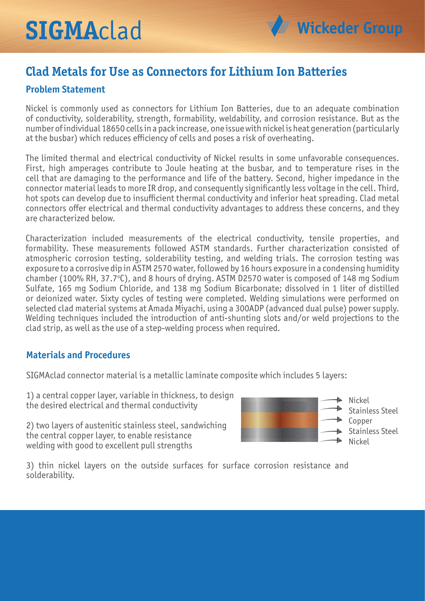# **SIGMA**clad

# **Clad Metals for Use as Connectors for Lithium Ion Batteries**

# **Problem Statement**

Nickel is commonly used as connectors for Lithium Ion Batteries, due to an adequate combination of conductivity, solderability, strength, formability, weldability, and corrosion resistance. But as the number of individual 18650 cells in a pack increase, one issue with nickel is heat generation (particularly at the busbar) which reduces efficiency of cells and poses a risk of overheating.

The limited thermal and electrical conductivity of Nickel results in some unfavorable consequences. First, high amperages contribute to Joule heating at the busbar, and to temperature rises in the cell that are damaging to the performance and life of the battery. Second, higher impedance in the connector material leads to more IR drop, and consequently significantly less voltage in the cell. Third, hot spots can develop due to insufficient thermal conductivity and inferior heat spreading. Clad metal connectors offer electrical and thermal conductivity advantages to address these concerns, and they are characterized below.

Characterization included measurements of the electrical conductivity, tensile properties, and formability. These measurements followed ASTM standards. Further characterization consisted of atmospheric corrosion testing, solderability testing, and welding trials. The corrosion testing was exposure to a corrosive dip in ASTM 2570 water, followed by 16 hours exposure in a condensing humidity chamber (100% RH, 37.7°C), and 8 hours of drying. ASTM D2570 water is composed of 148 mg Sodium Sulfate, 165 mg Sodium Chloride, and 138 mg Sodium Bicarbonate; dissolved in 1 liter of distilled or deionized water. Sixty cycles of testing were completed. Welding simulations were performed on selected clad material systems at Amada Miyachi, using a 300ADP (advanced dual pulse) power supply. Welding techniques included the introduction of anti-shunting slots and/or weld projections to the clad strip, as well as the use of a step-welding process when required.

#### **Materials and Procedures**

SIGMAclad connector material is a metallic laminate composite which includes 5 layers:

1) a central copper layer, variable in thickness, to design the desired electrical and thermal conductivity

2) two layers of austenitic stainless steel, sandwiching the central copper layer, to enable resistance welding with good to excellent pull strengths



3) thin nickel layers on the outside surfaces for surface corrosion resistance and solderability.